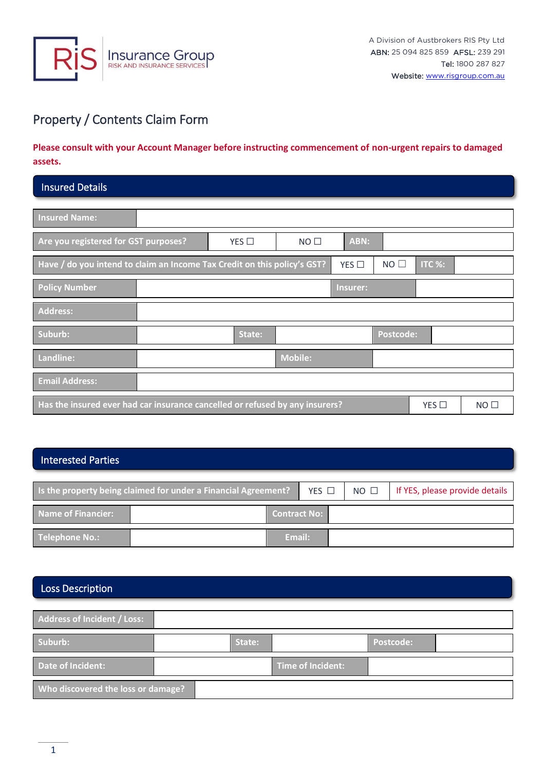

# Property / Contents Claim Form

### **Please consult with your Account Manager before instructing commencement of non-urgent repairs to damaged assets.**

### Insured Details

| <b>Insured Name:</b>                                                                                  |                |        |                 |            |                  |        |  |
|-------------------------------------------------------------------------------------------------------|----------------|--------|-----------------|------------|------------------|--------|--|
| Are you registered for GST purposes?                                                                  |                | YES    | NO <sub>1</sub> | ABN:       |                  |        |  |
| Have / do you intend to claim an Income Tax Credit on this policy's GST?                              |                |        |                 | YES $\Box$ | $NO$ $\Box$      | ITC %: |  |
| <b>Policy Number</b>                                                                                  |                |        |                 | Insurer:   |                  |        |  |
| <b>Address:</b>                                                                                       |                |        |                 |            |                  |        |  |
| Suburb:                                                                                               |                | State: |                 |            | <b>Postcode:</b> |        |  |
| Landline:                                                                                             | <b>Mobile:</b> |        |                 |            |                  |        |  |
| <b>Email Address:</b>                                                                                 |                |        |                 |            |                  |        |  |
| Has the insured ever had car insurance cancelled or refused by any insurers?<br>YES<br>$NO$ $\square$ |                |        |                 |            |                  |        |  |

### Interested Parties

| Is the property being claimed for under a Financial Agreement? |  |                     |  | YES $\Box$ | $NO$ $\square$ | If YES, please provide details |
|----------------------------------------------------------------|--|---------------------|--|------------|----------------|--------------------------------|
| Name of Financier:                                             |  | <b>Contract No:</b> |  |            |                |                                |
| Telephone No.:                                                 |  | Email:              |  |            |                |                                |

## Loss Description

| Address of Incident / Loss:        |        |                   |                  |  |
|------------------------------------|--------|-------------------|------------------|--|
| Suburb:                            | State: |                   | <b>Postcode:</b> |  |
| Date of Incident:                  |        | Time of Incident: |                  |  |
| Who discovered the loss or damage? |        |                   |                  |  |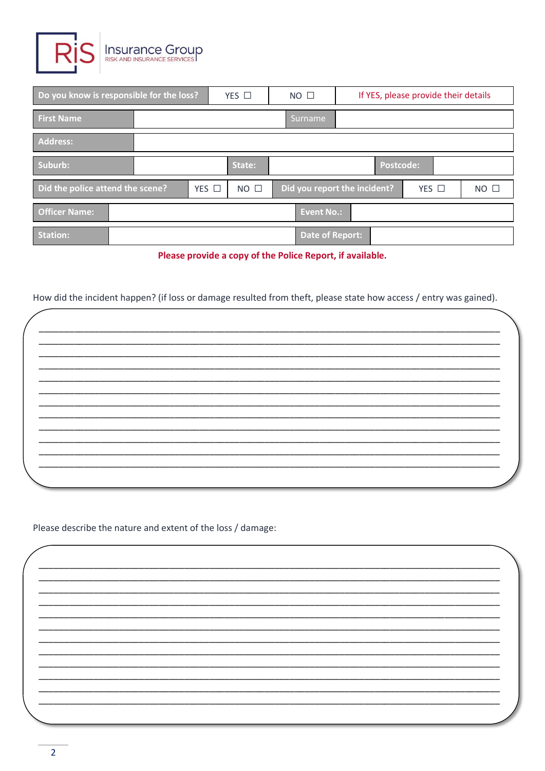

| Do you know is responsible for the loss? |  |                 | $YES$ $\square$<br>NO <sub>1</sub> |                   | If YES, please provide their details |            |             |
|------------------------------------------|--|-----------------|------------------------------------|-------------------|--------------------------------------|------------|-------------|
| <b>First Name</b>                        |  |                 |                                    | 'Surname          |                                      |            |             |
| <b>Address:</b>                          |  |                 |                                    |                   |                                      |            |             |
| Suburb:                                  |  |                 | State:                             |                   | <b>Postcode:</b>                     |            |             |
| Did the police attend the scene?         |  | $YES$ $\square$ | $NO$ $\square$                     |                   | Did you report the incident?         | YES $\Box$ | $NO$ $\Box$ |
| <b>Officer Name:</b>                     |  |                 |                                    | <b>Event No.:</b> |                                      |            |             |
| <b>Station:</b>                          |  |                 |                                    | Date of Report:   |                                      |            |             |

Please provide a copy of the Police Report, if available.

How did the incident happen? (if loss or damage resulted from theft, please state how access / entry was gained).

Please describe the nature and extent of the loss / damage: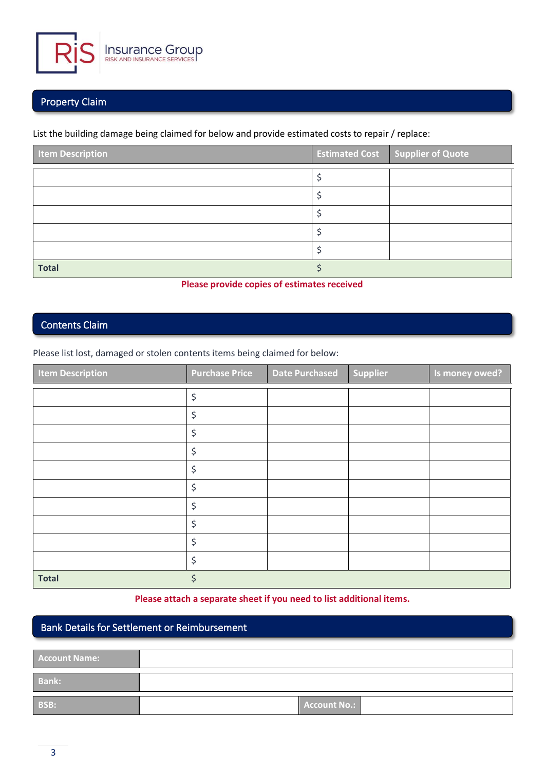

### Property Claim

List the building damage being claimed for below and provide estimated costs to repair / replace:

| <b>Item Description</b> | <b>Estimated Cost Supplier of Quote</b> |
|-------------------------|-----------------------------------------|
|                         |                                         |
|                         |                                         |
|                         |                                         |
|                         |                                         |
|                         |                                         |
| <b>Total</b>            |                                         |

#### **Please provide copies of estimates received**

### Contents Claim

Please list lost, damaged or stolen contents items being claimed for below:

| <b>Item Description</b> | <b>Purchase Price</b> | <b>Date Purchased</b> | <b>Supplier</b> | Is money owed? |
|-------------------------|-----------------------|-----------------------|-----------------|----------------|
|                         | \$                    |                       |                 |                |
|                         | \$                    |                       |                 |                |
|                         | \$                    |                       |                 |                |
|                         | \$                    |                       |                 |                |
|                         | \$                    |                       |                 |                |
|                         | \$                    |                       |                 |                |
|                         | \$                    |                       |                 |                |
|                         | \$                    |                       |                 |                |
|                         | \$                    |                       |                 |                |
|                         | \$                    |                       |                 |                |
| <b>Total</b>            | \$                    |                       |                 |                |

#### **Please attach a separate sheet if you need to list additional items.**

### Bank Details for Settlement or Reimbursement

| <b>Account Name:</b> |              |  |
|----------------------|--------------|--|
| <b>Bank:</b>         |              |  |
| BSB:                 | Account No.: |  |